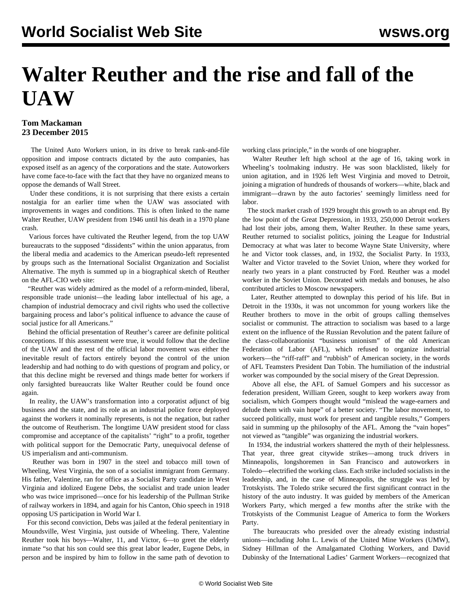## **Walter Reuther and the rise and fall of the UAW**

## **Tom Mackaman 23 December 2015**

 The United Auto Workers union, in its drive to break rank-and-file opposition and impose contracts dictated by the auto companies, has exposed itself as an agency of the corporations and the state. Autoworkers have come face-to-face with the fact that they have no organized means to oppose the demands of Wall Street.

 Under these conditions, it is not surprising that there exists a certain nostalgia for an earlier time when the UAW was associated with improvements in wages and conditions. This is often linked to the name Walter Reuther, UAW president from 1946 until his death in a 1970 plane crash.

 Various forces have cultivated the Reuther legend, from the top UAW bureaucrats to the supposed "dissidents" within the union apparatus, from the liberal media and academics to the American pseudo-left represented by groups such as the International Socialist Organization and Socialist Alternative. The myth is summed up in a biographical sketch of Reuther on the AFL-CIO web site:

 "Reuther was widely admired as the model of a reform-minded, liberal, responsible trade unionist—the leading labor intellectual of his age, a champion of industrial democracy and civil rights who used the collective bargaining process and labor's political influence to advance the cause of social justice for all Americans."

 Behind the official presentation of Reuther's career are definite political conceptions. If this assessment were true, it would follow that the decline of the UAW and the rest of the official labor movement was either the inevitable result of factors entirely beyond the control of the union leadership and had nothing to do with questions of program and policy, or that this decline might be reversed and things made better for workers if only farsighted bureaucrats like Walter Reuther could be found once again.

 In reality, the UAW's transformation into a corporatist adjunct of big business and the state, and its role as an industrial police force deployed against the workers it nominally represents, is not the negation, but rather the outcome of Reutherism. The longtime UAW president stood for class compromise and acceptance of the capitalists' "right" to a profit, together with political support for the Democratic Party, unequivocal defense of US imperialism and anti-communism.

 Reuther was born in 1907 in the steel and tobacco mill town of Wheeling, West Virginia, the son of a socialist immigrant from Germany. His father, Valentine, ran for office as a Socialist Party candidate in West Virginia and idolized Eugene Debs, the socialist and trade union leader who was twice imprisoned—once for his leadership of the Pullman Strike of railway workers in 1894, and again for his Canton, Ohio speech in 1918 opposing US participation in World War I.

 For this second conviction, Debs was jailed at the federal penitentiary in Moundsville, West Virginia, just outside of Wheeling. There, Valentine Reuther took his boys—Walter, 11, and Victor, 6—to greet the elderly inmate "so that his son could see this great labor leader, Eugene Debs, in person and be inspired by him to follow in the same path of devotion to

working class principle," in the words of one biographer.

 Walter Reuther left high school at the age of 16, taking work in Wheeling's toolmaking industry. He was soon blacklisted, likely for union agitation, and in 1926 left West Virginia and moved to Detroit, joining a migration of hundreds of thousands of workers—white, black and immigrant—drawn by the auto factories' seemingly limitless need for labor.

 The stock market crash of 1929 brought this growth to an abrupt end. By the low point of the Great Depression, in 1933, 250,000 Detroit workers had lost their jobs, among them, Walter Reuther. In these same years, Reuther returned to socialist politics, joining the League for Industrial Democracy at what was later to become Wayne State University, where he and Victor took classes, and, in 1932, the Socialist Party. In 1933, Walter and Victor traveled to the Soviet Union, where they worked for nearly two years in a plant constructed by Ford. Reuther was a model worker in the Soviet Union. Decorated with medals and bonuses, he also contributed articles to Moscow newspapers.

 Later, Reuther attempted to downplay this period of his life. But in Detroit in the 1930s, it was not uncommon for young workers like the Reuther brothers to move in the orbit of groups calling themselves socialist or communist. The attraction to socialism was based to a large extent on the influence of the Russian Revolution and the patent failure of the class-collaborationist "business unionism" of the old American Federation of Labor (AFL), which refused to organize industrial workers—the "riff-raff" and "rubbish" of American society, in the words of AFL Teamsters President Dan Tobin. The humiliation of the industrial worker was compounded by the social misery of the Great Depression.

 Above all else, the AFL of Samuel Gompers and his successor as federation president, William Green, sought to keep workers away from socialism, which Gompers thought would "mislead the wage-earners and delude them with vain hope" of a better society. "The labor movement, to succeed politically, must work for present and tangible results," Gompers said in summing up the philosophy of the AFL. Among the "vain hopes" not viewed as "tangible" was organizing the industrial workers.

 In 1934, the industrial workers shattered the myth of their helplessness. That year, three great citywide strikes—among truck drivers in Minneapolis, longshoremen in San Francisco and autoworkers in Toledo—electrified the working class. Each strike included socialists in the leadership, and, in the case of Minneapolis, the struggle was led by Trotskyists. The Toledo strike secured the first significant contract in the history of the auto industry. It was guided by members of the American Workers Party, which merged a few months after the strike with the Trotskyists of the Communist League of America to form the Workers Party.

 The bureaucrats who presided over the already existing industrial unions—including John L. Lewis of the United Mine Workers (UMW), Sidney Hillman of the Amalgamated Clothing Workers, and David Dubinsky of the International Ladies' Garment Workers—recognized that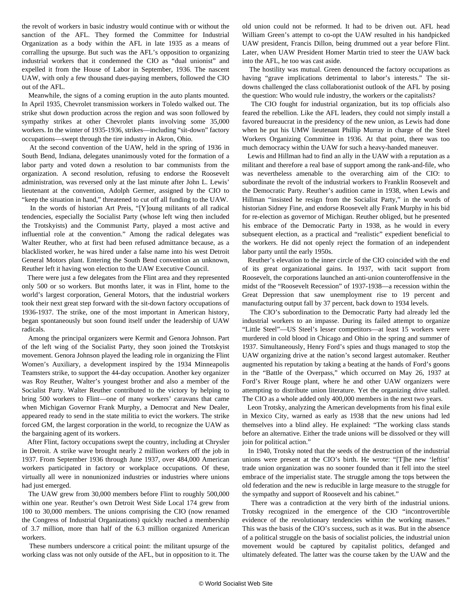the revolt of workers in basic industry would continue with or without the sanction of the AFL. They formed the Committee for Industrial Organization as a body within the AFL in late 1935 as a means of corralling the upsurge. But such was the AFL's opposition to organizing industrial workers that it condemned the CIO as "dual unionist" and expelled it from the House of Labor in September, 1936. The nascent UAW, with only a few thousand dues-paying members, followed the CIO out of the AFL.

 Meanwhile, the signs of a coming eruption in the auto plants mounted. In April 1935, Chevrolet transmission workers in Toledo walked out. The strike shut down production across the region and was soon followed by sympathy strikes at other Chevrolet plants involving some 35,000 workers. In the winter of 1935-1936, strikes—including "sit-down" factory occupations—swept through the tire industry in Akron, Ohio.

 At the second convention of the UAW, held in the spring of 1936 in South Bend, Indiana, delegates unanimously voted for the formation of a labor party and voted down a resolution to bar communists from the organization. A second resolution, refusing to endorse the Roosevelt administration, was reversed only at the last minute after John L. Lewis' lieutenant at the convention, Adolph Germer, assigned by the CIO to "keep the situation in hand," threatened to cut off all funding to the UAW.

 In the words of historian Art Preis, "[Y]oung militants of all radical tendencies, especially the Socialist Party (whose left wing then included the Trotskyists) and the Communist Party, played a most active and influential role at the convention." Among the radical delegates was Walter Reuther, who at first had been refused admittance because, as a blacklisted worker, he was hired under a false name into his west Detroit General Motors plant. Entering the South Bend convention an unknown, Reuther left it having won election to the UAW Executive Council.

 There were just a few delegates from the Flint area and they represented only 500 or so workers. But months later, it was in Flint, home to the world's largest corporation, General Motors, that the industrial workers took their next great step forward with the sit-down factory occupations of 1936-1937. The strike, one of the most important in American history, began spontaneously but soon found itself under the leadership of UAW radicals.

 Among the principal organizers were Kermit and Genora Johnson. Part of the left wing of the Socialist Party, they soon joined the Trotskyist movement. Genora Johnson played the leading role in organizing the Flint Women's Auxiliary, a development inspired by the 1934 Minneapolis Teamsters strike, to support the 44-day occupation. Another key organizer was Roy Reuther, Walter's youngest brother and also a member of the Socialist Party. Walter Reuther contributed to the victory by helping to bring 500 workers to Flint—one of many workers' caravans that came when Michigan Governor Frank Murphy, a Democrat and New Dealer, appeared ready to send in the state militia to evict the workers. The strike forced GM, the largest corporation in the world, to recognize the UAW as the bargaining agent of its workers.

 After Flint, factory occupations swept the country, including at Chrysler in Detroit. A strike wave brought nearly 2 million workers off the job in 1937. From September 1936 through June 1937, over 484,000 American workers participated in factory or workplace occupations. Of these, virtually all were in nonunionized industries or industries where unions had just emerged.

 The UAW grew from 30,000 members before Flint to roughly 500,000 within one year. Reuther's own Detroit West Side Local 174 grew from 100 to 30,000 members. The unions comprising the CIO (now renamed the Congress of Industrial Organizations) quickly reached a membership of 3.7 million, more than half of the 6.3 million organized American workers.

 These numbers underscore a critical point: the militant upsurge of the working class was not only outside of the AFL, but in opposition to it. The old union could not be reformed. It had to be driven out. AFL head William Green's attempt to co-opt the UAW resulted in his handpicked UAW president, Francis Dillon, being drummed out a year before Flint. Later, when UAW President Homer Martin tried to steer the UAW back into the AFL, he too was cast aside.

 The hostility was mutual. Green denounced the factory occupations as having "grave implications detrimental to labor's interests." The sitdowns challenged the class collaborationist outlook of the AFL by posing the question: Who would rule industry, the workers or the capitalists?

 The CIO fought for industrial organization, but its top officials also feared the rebellion. Like the AFL leaders, they could not simply install a favored bureaucrat in the presidency of the new union, as Lewis had done when he put his UMW lieutenant Phillip Murray in charge of the Steel Workers Organizing Committee in 1936. At that point, there was too much democracy within the UAW for such a heavy-handed maneuver.

 Lewis and Hillman had to find an ally in the UAW with a reputation as a militant and therefore a real base of support among the rank-and-file, who was nevertheless amenable to the overarching aim of the CIO: to subordinate the revolt of the industrial workers to Franklin Roosevelt and the Democratic Party. Reuther's audition came in 1938, when Lewis and Hillman "insisted he resign from the Socialist Party," in the words of historian Sidney Fine, and endorse Roosevelt ally Frank Murphy in his bid for re-election as governor of Michigan. Reuther obliged, but he presented his embrace of the Democratic Party in 1938, as he would in every subsequent election, as a practical and "realistic" expedient beneficial to the workers. He did not openly reject the formation of an independent labor party until the early 1950s.

 Reuther's elevation to the inner circle of the CIO coincided with the end of its great organizational gains. In 1937, with tacit support from Roosevelt, the corporations launched an anti-union counteroffensive in the midst of the "Roosevelt Recession" of 1937-1938—a recession within the Great Depression that saw unemployment rise to 19 percent and manufacturing output fall by 37 percent, back down to 1934 levels.

 The CIO's subordination to the Democratic Party had already led the industrial workers to an impasse. During its failed attempt to organize "Little Steel"—US Steel's lesser competitors—at least 15 workers were murdered in cold blood in Chicago and Ohio in the spring and summer of 1937. Simultaneously, Henry Ford's spies and thugs managed to stop the UAW organizing drive at the nation's second largest automaker. Reuther augmented his reputation by taking a beating at the hands of Ford's goons in the "Battle of the Overpass," which occurred on May 26, 1937 at Ford's River Rouge plant, where he and other UAW organizers were attempting to distribute union literature. Yet the organizing drive stalled. The CIO as a whole added only 400,000 members in the next two years.

 Leon Trotsky, analyzing the American developments from his final exile in Mexico City, warned as early as 1938 that the new unions had led themselves into a blind alley. He explained: "The working class stands before an alternative. Either the trade unions will be dissolved or they will join for political action."

 In 1940, Trotsky noted that the seeds of the destruction of the industrial unions were present at the CIO's birth. He wrote: "[T]he new 'leftist' trade union organization was no sooner founded than it fell into the steel embrace of the imperialist state. The struggle among the tops between the old federation and the new is reducible in large measure to the struggle for the sympathy and support of Roosevelt and his cabinet."

 There was a contradiction at the very birth of the industrial unions. Trotsky recognized in the emergence of the CIO "incontrovertible evidence of the revolutionary tendencies within the working masses." This was the basis of the CIO's success, such as it was. But in the absence of a political struggle on the basis of socialist policies, the industrial union movement would be captured by capitalist politics, defanged and ultimately defeated. The latter was the course taken by the UAW and the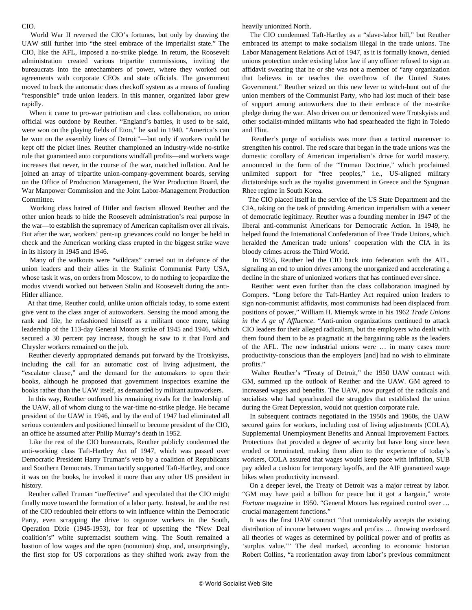## CIO.

 World War II reversed the CIO's fortunes, but only by drawing the UAW still further into "the steel embrace of the imperialist state." The CIO, like the AFL, imposed a no-strike pledge. In return, the Roosevelt administration created various tripartite commissions, inviting the bureaucrats into the antechambers of power, where they worked out agreements with corporate CEOs and state officials. The government moved to back the automatic dues checkoff system as a means of funding "responsible" trade union leaders. In this manner, organized labor grew rapidly.

 When it came to pro-war patriotism and class collaboration, no union official was outdone by Reuther. "England's battles, it used to be said, were won on the playing fields of Eton," he said in 1940. "America's can be won on the assembly lines of Detroit"—but only if workers could be kept off the picket lines. Reuther championed an industry-wide no-strike rule that guaranteed auto corporations windfall profits—and workers wage increases that never, in the course of the war, matched inflation. And he joined an array of tripartite union-company-government boards, serving on the Office of Production Management, the War Production Board, the War Manpower Commission and the Joint Labor-Management Production Committee.

 Working class hatred of Hitler and fascism allowed Reuther and the other union heads to hide the Roosevelt administration's real purpose in the war—to establish the supremacy of American capitalism over all rivals. But after the war, workers' pent-up grievances could no longer be held in check and the American working class erupted in the biggest strike wave in its history in 1945 and 1946.

 Many of the walkouts were "wildcats" carried out in defiance of the union leaders and their allies in the Stalinist Communist Party USA, whose task it was, on orders from Moscow, to do nothing to jeopardize the modus vivendi worked out between Stalin and Roosevelt during the anti-Hitler alliance.

 At that time, Reuther could, unlike union officials today, to some extent give vent to the class anger of autoworkers. Sensing the mood among the rank and file, he refashioned himself as a militant once more, taking leadership of the 113-day General Motors strike of 1945 and 1946, which secured a 30 percent pay increase, though he saw to it that Ford and Chrysler workers remained on the job.

 Reuther cleverly appropriated demands put forward by the Trotskyists, including the call for an automatic cost of living adjustment, the "escalator clause," and the demand for the automakers to open their books, although he proposed that government inspectors examine the books rather than the UAW itself, as demanded by militant autoworkers.

 In this way, Reuther outfoxed his remaining rivals for the leadership of the UAW, all of whom clung to the war-time no-strike pledge. He became president of the UAW in 1946, and by the end of 1947 had eliminated all serious contenders and positioned himself to become president of the CIO, an office he assumed after Philip Murray's death in 1952.

 Like the rest of the CIO bureaucrats, Reuther publicly condemned the anti-working class Taft-Hartley Act of 1947, which was passed over Democratic President Harry Truman's veto by a coalition of Republicans and Southern Democrats. Truman tacitly supported Taft-Hartley, and once it was on the books, he invoked it more than any other US president in history.

 Reuther called Truman "ineffective" and speculated that the CIO might finally move toward the formation of a labor party. Instead, he and the rest of the CIO redoubled their efforts to win influence within the Democratic Party, even scrapping the drive to organize workers in the South, Operation Dixie (1945-1953), for fear of upsetting the "New Deal coalition's" white supremacist southern wing. The South remained a bastion of low wages and the open (nonunion) shop, and, unsurprisingly, the first stop for US corporations as they shifted work away from the heavily unionized North.

 The CIO condemned Taft-Hartley as a "slave-labor bill," but Reuther embraced its attempt to make socialism illegal in the trade unions. The Labor Management Relations Act of 1947, as it is formally known, denied unions protection under existing labor law if any officer refused to sign an affidavit swearing that he or she was not a member of "any organization that believes in or teaches the overthrow of the United States Government." Reuther seized on this new lever to witch-hunt out of the union members of the Communist Party, who had lost much of their base of support among autoworkers due to their embrace of the no-strike pledge during the war. Also driven out or demonized were Trotskyists and other socialist-minded militants who had spearheaded the fight in Toledo and Flint.

 Reuther's purge of socialists was more than a tactical maneuver to strengthen his control. The red scare that began in the trade unions was the domestic corollary of American imperialism's drive for world mastery, announced in the form of the "Truman Doctrine," which proclaimed unlimited support for "free peoples," i.e., US-aligned military dictatorships such as the royalist government in Greece and the Syngman Rhee regime in South Korea.

 The CIO placed itself in the service of the US State Department and the CIA, taking on the task of providing American imperialism with a veneer of democratic legitimacy. Reuther was a founding member in 1947 of the liberal anti-communist Americans for Democratic Action. In 1949, he helped found the International Confederation of Free Trade Unions, which heralded the American trade unions' cooperation with the CIA in its bloody crimes across the Third World.

 In 1955, Reuther led the CIO back into federation with the AFL, signaling an end to union drives among the unorganized and accelerating a decline in the share of unionized workers that has continued ever since.

 Reuther went even further than the class collaboration imagined by Gompers. "Long before the Taft-Hartley Act required union leaders to sign non-communist affidavits, most communists had been displaced from positions of power," William H. Miernyk wrote in his 1962 *Trade Unions in the A ge of Affluence*. "Anti-union organizations continued to attack CIO leaders for their alleged radicalism, but the employers who dealt with them found them to be as pragmatic at the bargaining table as the leaders of the AFL. The new industrial unions were … in many cases more productivity-conscious than the employers [and] had no wish to eliminate profits."

 Walter Reuther's "Treaty of Detroit," the 1950 UAW contract with GM, summed up the outlook of Reuther and the UAW. GM agreed to increased wages and benefits. The UAW, now purged of the radicals and socialists who had spearheaded the struggles that established the union during the Great Depression, would not question corporate rule.

 In subsequent contracts negotiated in the 1950s and 1960s, the UAW secured gains for workers, including cost of living adjustments (COLA), Supplemental Unemployment Benefits and Annual Improvement Factors. Protections that provided a degree of security but have long since been eroded or terminated, making them alien to the experience of today's workers, COLA assured that wages would keep pace with inflation, SUB pay added a cushion for temporary layoffs, and the AIF guaranteed wage hikes when productivity increased.

 On a deeper level, the Treaty of Detroit was a major retreat by labor. "GM may have paid a billion for peace but it got a bargain," wrote *Fortune* magazine in 1950. "General Motors has regained control over … crucial management functions."

 It was the first UAW contract "that unmistakably accepts the existing distribution of income between wages and profits … throwing overboard all theories of wages as determined by political power and of profits as 'surplus value.'" The deal marked, according to economic historian Robert Collins, "a reorientation away from labor's previous commitment